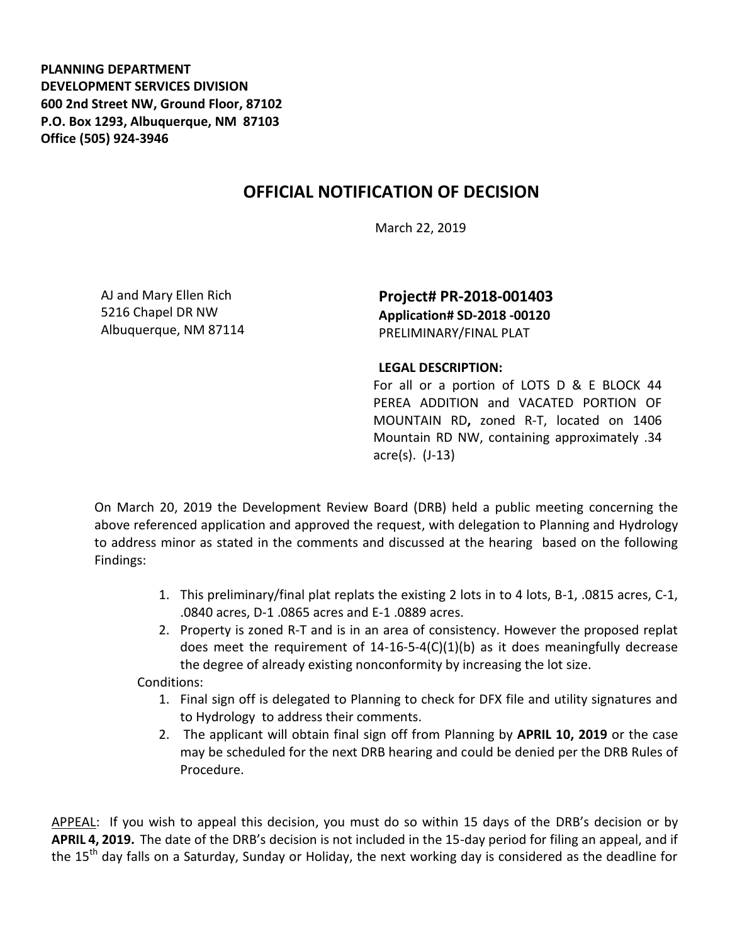**PLANNING DEPARTMENT DEVELOPMENT SERVICES DIVISION 600 2nd Street NW, Ground Floor, 87102 P.O. Box 1293, Albuquerque, NM 87103 Office (505) 924-3946** 

## **OFFICIAL NOTIFICATION OF DECISION**

March 22, 2019

AJ and Mary Ellen Rich 5216 Chapel DR NW Albuquerque, NM 87114

**Project# PR-2018-001403 Application# SD-2018 -00120**  PRELIMINARY/FINAL PLAT

## **LEGAL DESCRIPTION:**

For all or a portion of LOTS D & E BLOCK 44 PEREA ADDITION and VACATED PORTION OF MOUNTAIN RD**,** zoned R-T, located on 1406 Mountain RD NW, containing approximately .34 acre(s). (J-13)

On March 20, 2019 the Development Review Board (DRB) held a public meeting concerning the above referenced application and approved the request, with delegation to Planning and Hydrology to address minor as stated in the comments and discussed at the hearing based on the following Findings:

- 1. This preliminary/final plat replats the existing 2 lots in to 4 lots, B-1, .0815 acres, C-1, .0840 acres, D-1 .0865 acres and E-1 .0889 acres.
- 2. Property is zoned R-T and is in an area of consistency. However the proposed replat does meet the requirement of 14-16-5-4(C)(1)(b) as it does meaningfully decrease the degree of already existing nonconformity by increasing the lot size.

Conditions:

- 1. Final sign off is delegated to Planning to check for DFX file and utility signatures and to Hydrology to address their comments.
- 2. The applicant will obtain final sign off from Planning by **APRIL 10, 2019** or the case may be scheduled for the next DRB hearing and could be denied per the DRB Rules of Procedure.

APPEAL: If you wish to appeal this decision, you must do so within 15 days of the DRB's decision or by **APRIL 4, 2019.** The date of the DRB's decision is not included in the 15-day period for filing an appeal, and if the 15<sup>th</sup> day falls on a Saturday, Sunday or Holiday, the next working day is considered as the deadline for